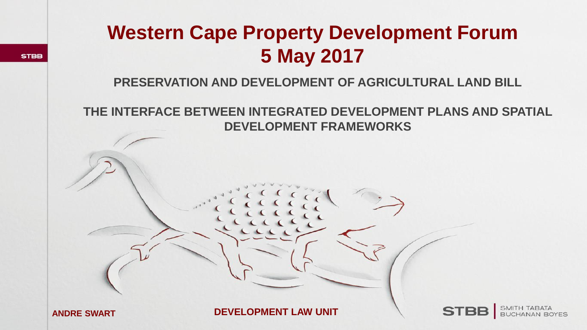## **Western Cape Property Development Forum 5 May 2017**

**PRESERVATION AND DEVELOPMENT OF AGRICULTURAL LAND BILL**

**THE INTERFACE BETWEEN INTEGRATED DEVELOPMENT PLANS AND SPATIAL DEVELOPMENT FRAMEWORKS**

**ANDRE SWART**

**STBB** 

**DEVELOPMENT LAW UNIT**

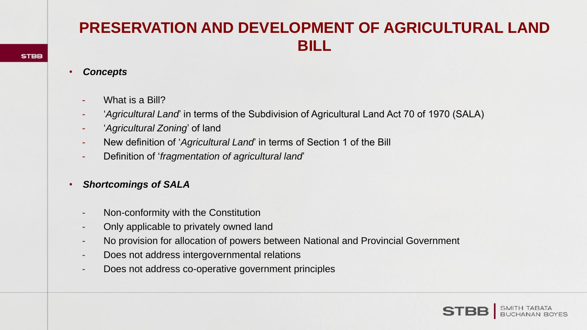### **PRESERVATION AND DEVELOPMENT OF AGRICULTURAL LAND BILL**

- *Concepts*
	- What is a Bill?
	- '*Agricultural Land*' in terms of the Subdivision of Agricultural Land Act 70 of 1970 (SALA)
	- '*Agricultural Zoning*' of land
	- New definition of '*Agricultural Land*' in terms of Section 1 of the Bill
	- Definition of '*fragmentation of agricultural land*'
- *Shortcomings of SALA*
	- Non-conformity with the Constitution
	- Only applicable to privately owned land
	- No provision for allocation of powers between National and Provincial Government
	- Does not address intergovernmental relations
	- Does not address co-operative government principles

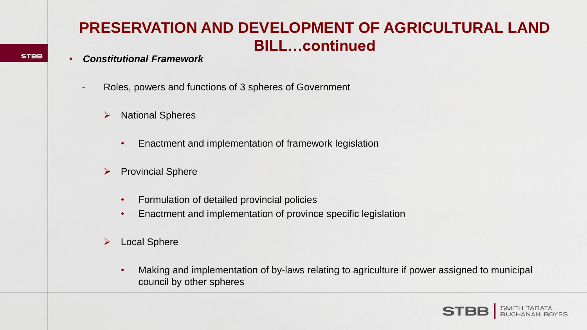### **PRESERVATION AND DEVELOPMENT OF AGRICULTURAL LAND BILL…continued**

#### • *Constitutional Framework*

- Roles, powers and functions of 3 spheres of Government
	- $\triangleright$  National Spheres
		- Enactment and implementation of framework legislation
	- $\triangleright$  Provincial Sphere
		- Formulation of detailed provincial policies
		- Enactment and implementation of province specific legislation
	- Local Sphere
		- Making and implementation of by-laws relating to agriculture if power assigned to municipal council by other spheres

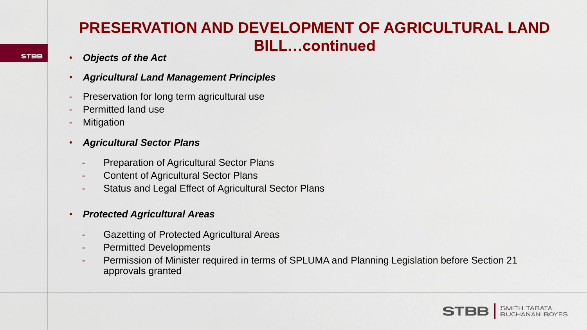### **PRESERVATION AND DEVELOPMENT OF AGRICULTURAL LAND BILL…continued**

#### • *Objects of the Act*

- *Agricultural Land Management Principles*
- Preservation for long term agricultural use
- **Permitted land use**
- **Mitigation**
- *Agricultural Sector Plans*
	- Preparation of Agricultural Sector Plans
	- **Content of Agricultural Sector Plans**
	- Status and Legal Effect of Agricultural Sector Plans

#### • *Protected Agricultural Areas*

- Gazetting of Protected Agricultural Areas
- Permitted Developments
- Permission of Minister required in terms of SPLUMA and Planning Legislation before Section 21 approvals granted



**STBB**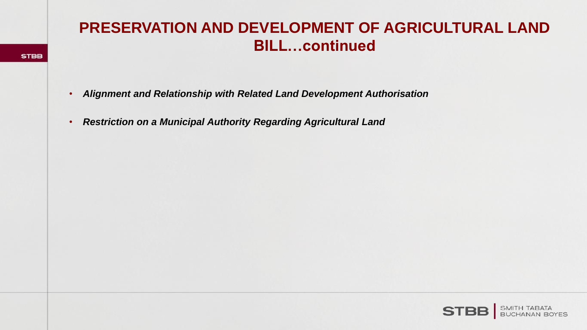#### **PRESERVATION AND DEVELOPMENT OF AGRICULTURAL LAND BILL…continued**

- *Alignment and Relationship with Related Land Development Authorisation*
- *Restriction on a Municipal Authority Regarding Agricultural Land*

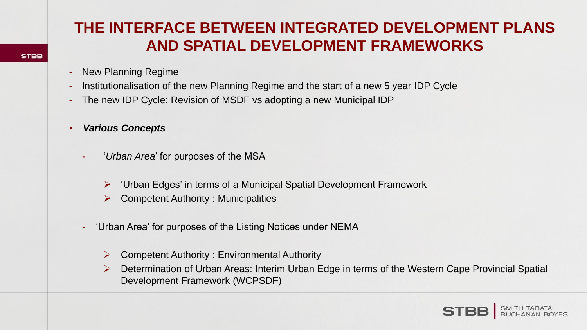- **New Planning Regime**
- Institutionalisation of the new Planning Regime and the start of a new 5 year IDP Cycle
- The new IDP Cycle: Revision of MSDF vs adopting a new Municipal IDP
- *Various Concepts*
	- '*Urban Area'* for purposes of the MSA
		- $\triangleright$  'Urban Edges' in terms of a Municipal Spatial Development Framework
		- Competent Authority : Municipalities
	- 'Urban Area' for purposes of the Listing Notices under NEMA
		- $\triangleright$  Competent Authority : Environmental Authority
		- Determination of Urban Areas: Interim Urban Edge in terms of the Western Cape Provincial Spatial Development Framework (WCPSDF)

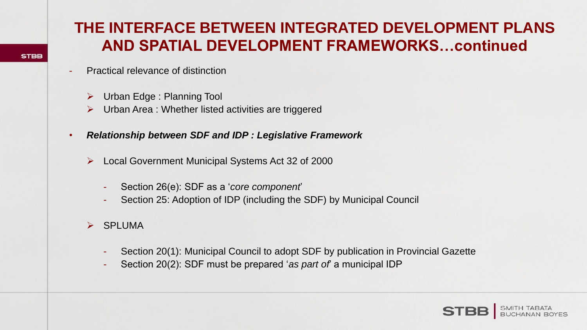- Practical relevance of distinction
	- Urban Edge : Planning Tool
	- $\triangleright$  Urban Area : Whether listed activities are triggered
- *Relationship between SDF and IDP : Legislative Framework*
	- Local Government Municipal Systems Act 32 of 2000
		- Section 26(e): SDF as a '*core component*'
		- Section 25: Adoption of IDP (including the SDF) by Municipal Council
	- $\triangleright$  SPLUMA
		- Section 20(1): Municipal Council to adopt SDF by publication in Provincial Gazette
		- Section 20(2): SDF must be prepared '*as part of*' a municipal IDP

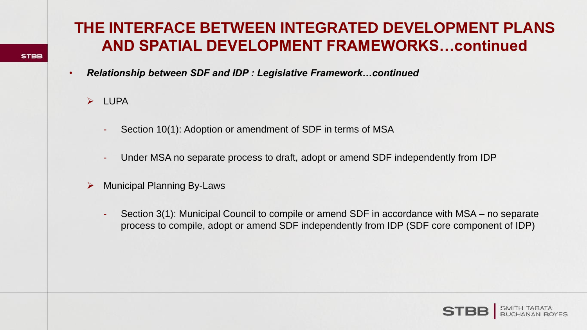- *Relationship between SDF and IDP : Legislative Framework…continued*
	- $\triangleright$  LUPA
		- Section 10(1): Adoption or amendment of SDF in terms of MSA
		- Under MSA no separate process to draft, adopt or amend SDF independently from IDP
	- Municipal Planning By-Laws
		- Section 3(1): Municipal Council to compile or amend SDF in accordance with MSA no separate process to compile, adopt or amend SDF independently from IDP (SDF core component of IDP)

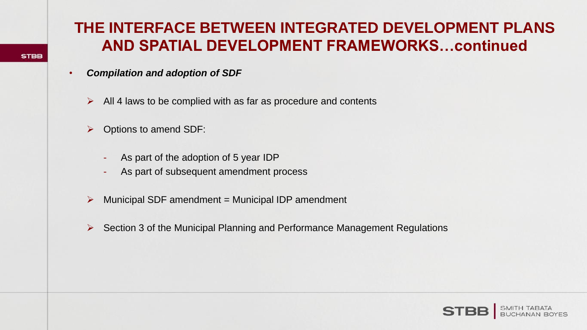- *Compilation and adoption of SDF*
	- $\triangleright$  All 4 laws to be complied with as far as procedure and contents
	- $\triangleright$  Options to amend SDF:
		- As part of the adoption of 5 year IDP
		- As part of subsequent amendment process
	- $\triangleright$  Municipal SDF amendment = Municipal IDP amendment
	- $\triangleright$  Section 3 of the Municipal Planning and Performance Management Regulations

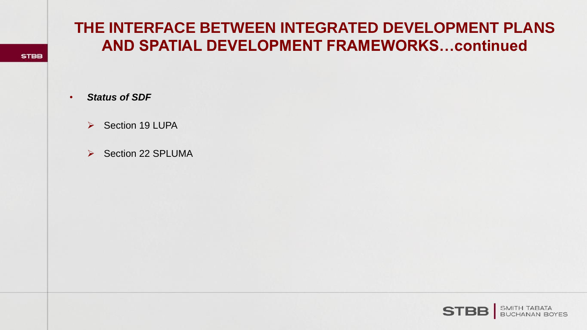• *Status of SDF*

**STBB** 

- ▶ Section 19 LUPA
- $\triangleright$  Section 22 SPLUMA